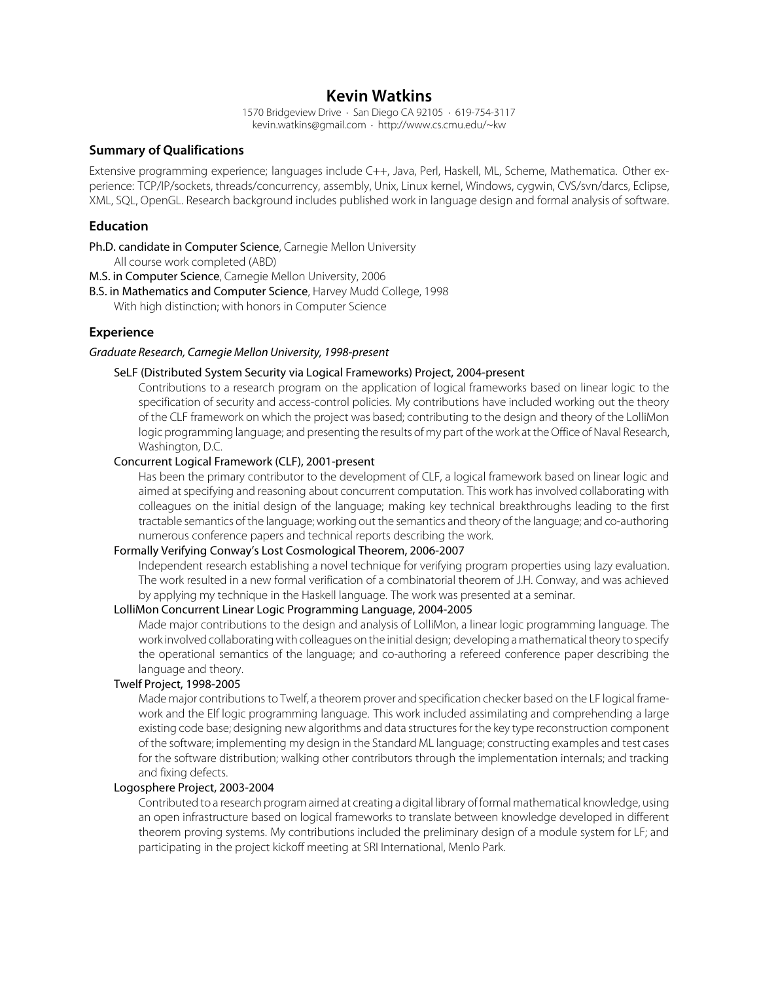# **Kevin Watkins**

1570 Bridgeview Drive · San Diego CA 92105 · 619-754-3117 kevin.watkins@gmail.com · http://www.cs.cmu.edu/~kw

### **Summary of Qualifications**

Extensive programming experience; languages include C++, Java, Perl, Haskell, ML, Scheme, Mathematica. Other experience: TCP/IP/sockets, threads/concurrency, assembly, Unix, Linux kernel, Windows, cygwin, CVS/svn/darcs, Eclipse, XML, SQL, OpenGL. Research background includes published work in language design and formal analysis of software.

### **Education**

Ph.D. candidate in Computer Science, Carnegie Mellon University

All course work completed (ABD)

M.S. in Computer Science, Carnegie Mellon University, 2006

B.S. in Mathematics and Computer Science, Harvey Mudd College, 1998

With high distinction; with honors in Computer Science

### **Experience**

#### Graduate Research, Carnegie Mellon University, 1998-present

#### SeLF (Distributed System Security via Logical Frameworks) Project, 2004-present

Contributions to a research program on the application of logical frameworks based on linear logic to the specification of security and access-control policies. My contributions have included working out the theory of the CLF framework on which the project was based; contributing to the design and theory of the LolliMon logic programming language; and presenting the results of my part of the work at the Office of Naval Research, Washington, D.C.

#### Concurrent Logical Framework (CLF), 2001-present

Has been the primary contributor to the development of CLF, a logical framework based on linear logic and aimed at specifying and reasoning about concurrent computation. This work has involved collaborating with colleagues on the initial design of the language; making key technical breakthroughs leading to the first tractable semantics of the language; working out the semantics and theory of the language; and co-authoring numerous conference papers and technical reports describing the work.

#### Formally Verifying Conway's Lost Cosmological Theorem, 2006-2007

Independent research establishing a novel technique for verifying program properties using lazy evaluation. The work resulted in a new formal verification of a combinatorial theorem of J.H. Conway, and was achieved by applying my technique in the Haskell language. The work was presented at a seminar.

# LolliMon Concurrent Linear Logic Programming Language, 2004-2005

Made major contributions to the design and analysis of LolliMon, a linear logic programming language. The work involved collaborating with colleagues on the initial design; developing a mathematical theory to specify the operational semantics of the language; and co-authoring a refereed conference paper describing the language and theory.

#### Twelf Project, 1998-2005

Made major contributions to Twelf, a theorem prover and specification checker based on the LF logical framework and the Elf logic programming language. This work included assimilating and comprehending a large existing code base; designing new algorithms and data structures for the key type reconstruction component of the software; implementing my design in the Standard ML language; constructing examples and test cases for the software distribution; walking other contributors through the implementation internals; and tracking and fixing defects.

### Logosphere Project, 2003-2004

Contributed to a research program aimed at creating a digital library of formal mathematical knowledge, using an open infrastructure based on logical frameworks to translate between knowledge developed in different theorem proving systems. My contributions included the preliminary design of a module system for LF; and participating in the project kickoff meeting at SRI International, Menlo Park.